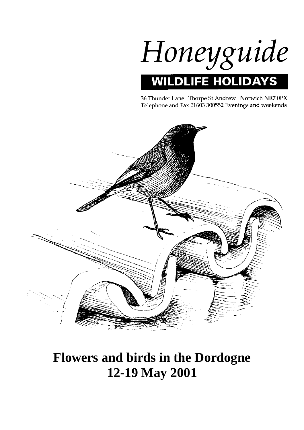

36 Thunder Lane Thorpe St Andrew Norwich NR7 0PX Telephone and Fax 01603 300552 Evenings and weekends



# **Flowers and birds in the Dordogne 12-19 May 2001**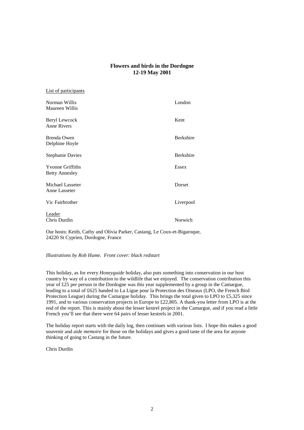# **Flowers and birds in the Dordogne 12-19 May 2001**

| List of participants                             |                  |
|--------------------------------------------------|------------------|
| Norman Willis<br>Maureen Willis                  | London           |
| Beryl Lewcock<br>Anne Rivers                     | Kent             |
| Brenda Owen<br>Delphine Hoyle                    | <b>Berkshire</b> |
| <b>Stephanie Davies</b>                          | <b>Berkshire</b> |
| <b>Yvonne Griffiths</b><br><b>Betty Annesley</b> | <b>Essex</b>     |
| Michael Lasseter<br>Anne Lasseter                | Dorset           |
| Vic Fairbrother                                  | Liverpool        |
| Leader<br>Chris Durdin                           | Norwich          |

Our hosts: Keith, Cathy and Olivia Parker, Castang, Le Coux-et-Bigaroque, 24220 St Cyprien, Dordogne, France

## *Illustrations by Rob Hume. Front cover: black redstart*

This holiday, as for every *Honeyguide* holiday, also puts something into conservation in our host country by way of a contribution to the wildlife that we enjoyed. The conservation contribution this year of £25 per person in the Dordogne was this year supplemented by a group in the Camargue, leading to a total of £625 handed to La Ligue pour la Protection des Oiseaux (LPO, the French Bird Protection League) during the Camargue holiday. This brings the total given to LPO to £5,325 since 1991, and to various conservation projects in Europe to £22,805. A thank-you letter from LPO is at the end of the report. This is mainly about the lesser kestrel project in the Camargue, and if you read a little French you'll see that there were 64 pairs of lesser kestrels in 2001.

The holiday report starts with the daily log, then continues with various lists. I hope this makes a good souvenir and *aide memoire* for those on the holidays and gives a good taste of the area for anyone thinking of going to Castang in the future.

Chris Durdin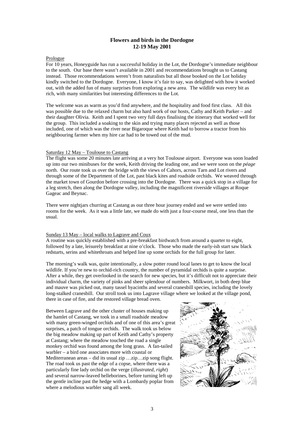# **Flowers and birds in the Dordogne 12-19 May 2001**

## Prologue

For 10 years, Honeyguide has run a successful holiday in the Lot, the Dordogne's immediate neighbour to the south. Our base there wasn't available in 2001 and recommendations brought us to Castang instead. Those recommendations weren't from naturalists but all those booked on the Lot holiday kindly switched to the Dordogne. Everyone, I know it's fair to say, was delighted with how it worked out, with the added fun of many surprises from exploring a new area. The wildlife was every bit as rich, with many similarities but interesting differences to the Lot.

The welcome was as warm as you'd find anywhere, and the hospitality and food first class. All this was possible due to the relaxed charm but also hard work of our hosts, Cathy and Keith Parker – and their daughter Olivia. Keith and I spent two very full days finalising the itinerary that worked well for the group. This included a soaking to the skin and trying many places rejected as well as those included, one of which was the river near Bigaroque where Keith had to borrow a tractor from his neighbouring farmer when my hire car had to be towed out of the mud.

#### Saturday 12 May – Toulouse to Castang

The flight was some 20 minutes late arriving at a very hot Toulouse airport. Everyone was soon loaded up into our two minibuses for the week, Keith driving the leading one, and we were soon on the *péage* north. Our route took us over the bridge with the views of Cahors, across Tarn and Lot rivers and through some of the Department of the Lot, past black kites and roadside orchids. We weaved through the market town of Gourdon before crossing into the Dordogne. There was a quick stop in a village for a leg stretch, then along the Dordogne valley, including the magnificent riverside villages at Roque Gageac and Beynac.

There were nightiars churring at Castang as our three hour journey ended and we were settled into rooms for the week. As it was a little late, we made do with just a four-course meal, one less than the usual.

## Sunday 13 May – local walks to Lagrave and Coux

A routine was quickly established with a pre-breakfast birdwatch from around a quarter to eight, followed by a late, leisurely breakfast at nine o'clock. Those who made the early-ish start saw black redstarts, serins and whitethroats and helped line up some orchids for the full group for later.

The morning's walk was, quite intentionally, a slow potter round local lanes to get to know the local wildlife. If you're new to orchid-rich country, the number of pyramidal orchids is quite a surprise. After a while, they get overlooked in the search for new species, but it's difficult not to appreciate their individual charm, the variety of pinks and sheer splendour of numbers. Milkwort, in both deep blue and mauve was picked out, many tassel hyacinths and several cranesbill species, including the lovely long-stalked cranesbill. Our stroll took us into Lagrave village where we looked at the village pond, there in case of fire, and the restored village bread oven.

Between Lagrave and the other cluster of houses making up the hamlet of Castang, we took in a small roadside meadow with many green-winged orchids and of one of this area's great surprises, a patch of tongue orchids. The walk took us below the big meadow making up part of Keith and Cathy's property at Castang; where the meadow touched the road a single monkey orchid was found among the long grass. A fan-tailed warbler – a bird one associates more with coastal or Mediterranean areas – did its usual zip …zip…zip song flight. The road took us past the edge of a copse, where there was a particularly fine lady orchid on the verge (*illustrated, right*) and several narrow-leaved helleborines, before turning left up the gentle incline past the hedge with a Lombardy poplar from where a melodious warbler sang all week.

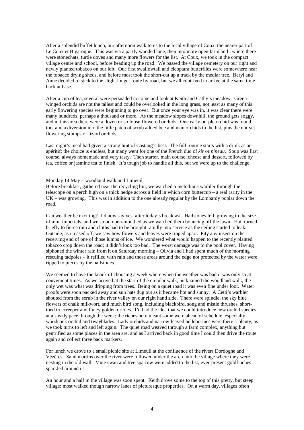After a splendid buffet lunch, our afternoon walk to us to the local village of Coux, the nearer part of Le Coux et Bigaroque. This was via a partly wooded lane, then into more open farmland, where there were stonechats, turtle doves and many more flowers for the list. At Coux, we took in the compact village centre and school, before heading up the road. We passed the village cemetery on our right and newly planted tobacco on our left. Our first swallowtail and cleopatra butterflies were somewhere near the tobacco drying sheds, and before most took the short-cut up a track by the medlar tree. Beryl and Anne decided to stick to the slight longer route by road, but we all contrived to arrive at the same time back at base.

After a cup of tea, several were persuaded to come and look at Keith and Cathy's meadow. Greenwinged orchids are not the tallest and could be overlooked in the long grass, not least as many of this early flowering species were beginning to go over. But once your eye was in, it was clear there were many hundreds, perhaps a thousand or more. As the meadow slopes downhill, the ground gets soggy, and in this area there were a dozen or so loose-flowered orchids. One early purple orchid was found too, and a diversion into the little patch of scrub added bee and man orchids to the list, plus the not yet flowering stumps of lizard orchids.

Last night's meal had given a strong hint of Castang's best. The full routine starts with a drink as an apéritif; the choice is endless, but many went for one of the French duo of *kir* or *pineau*. Soup was first course, always homemade and very tasty. Then starter, main course, cheese and dessert, followed by tea, coffee or jasmine tea to finish. It's tough job to handle all this, but we were up to the challenge.

## Monday 14 May – woodland walk and Limeuil

Before breakfast, gathered near the recycling bin, we watched a melodious warbler through the telescope on a perch high on a thick hedge across a field in which corn buttercup – a real rarity in the UK – was growing. This was in addition to the one already regular by the Lombardy poplar down the road.

Can weather be exciting? I'd now say yes, after today's breakfast. Hailstones fell, growing to the size of mint imperials, and we stood open-mouthed as we watched them bouncing off the lawn. Hail turned briefly to fierce rain and cloths had to be brought rapidly into service as the ceiling started to leak. Outside, as it eased off, we saw how flowers and leaves were ripped apart. Pity any insect on the receiving end of one of those lumps of ice. We wondered what would happen to the recently planted tobacco crop down the road; it didn't look too bad. The worst damage was to the pool cover. Having siphoned the winter rain from it on Saturday morning – Olivia and I had spent much of the morning rescuing tadpoles – it refilled with rain and those areas around the edge not protected by the water were ripped to pieces by the hailstones.

We seemed to have the knack of choosing a week where when the weather was bad it was only so at convenient times. As we arrived at the start of the circular walk, nicknamed the woodland walk, the only wet was what was dripping from trees. Being on a quiet road it was even fine under foot. Water proofs were soon packed away and sun hats dug out as it became hot and sunny. A Cetti's warbler shouted from the scrub in the river valley on our right hand side. There were spindle, the sky blue flowers of chalk milkwort, and much bird song, including blackbird, song and mistle thrushes, shorttoed treecreeper and flutey golden orioles. I'd had the idea that we could introduce new orchid species at a steady pace through the week; the riches here meant some were ahead of schedule, especially woodcock orchid and twayblades. Lady orchids and narrow-leaved helleborines were there a-plenty, as we took turns to left and left again. The quiet road weaved through a farm complex, anything but gentrified as some places in the area are, and as I arrived back in good time I could then drive the route again and collect three back markers.

For lunch we drove to a small picnic site at Limeuil at the confluence of the rivers Dordogne and Vézères. Sand martins over the river were followed under the arch into the village where they were nesting in the old wall. Mute swan and tree sparrow were added to the list; ever-present goldfinches sparkled around us.

An hour and a half in the village was soon spent. Keith drove some to the top of this pretty, but steep village: most walked though narrow lanes of picturesque properties. On a warm day, villages often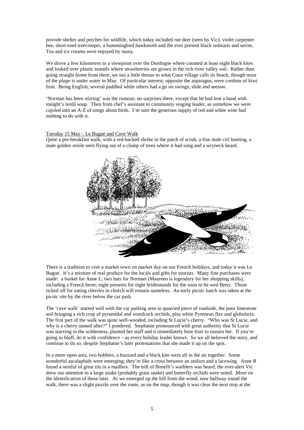provide shelter and perches for wildlife, which today included roe deer (seen by Vic), violet carpenter bee, short-toed treecreeper, a hummingbird hawkmoth and the ever present black redstarts and serins. Tea and ice creams were enjoyed by many.

We drove a few kilometres to a viewpoint over the Dordogne where counted at least eight black kites and looked over plastic tunnels where strawberries are grown in the rich river valley soil. Rather than going straight home from there, we too a little detour to what Coux village calls its beach, though most of the *plage* is under water in May. Of particular interest, opposite the asparagus, were cordons of kiwi fruit. Being English, several paddled while others had a go on swings, slide and seesaw.

'Norman has been stirring' was the rumour; no surprises there, except that he had lent a hand with tonight's lentil soup. Then from chef's assistant to community singing leader, as somehow we were cajoled into an A-Z of songs about birds. I'm sure the generous supply of red and white wine had nothing to do with it.

## Tuesday 15 May – Le Bugue and Cave Walk

Quite a pre-breakfast walk, with a red-backed shrike in the patch of scrub, a fine male cirl bunting, a male golden oriole seen flying out of a clump of trees where it had sung and a wryneck heard.



There is a tradition to visit a market town on market day on our French holidays, and today it was Le Bugue. It's a mixture of real produce for the locals and gifts for tourists. Many fine purchases were made: a basket for Anne L; two hats for Norman (Maureen is legendary for her shopping skills), including a French beret; eight presents for eight bridesmaids for the soon to be wed Betty. Those ticked off for eating cherries in church will remain nameless. An early picnic lunch was taken at the picnic site by the river below the car park.

The 'cave walk' started well with the car parking area in quarried piece of roadside, the poor limestone soil bringing a rich crop of pyramidal and woodcock orchids, plus white Pyrenean flax and globularia. The first part of the walk was quite well-wooded, including St Lucie's cherry. "Who was St Lucie, and why is a cherry named after?" I pondered. Stephanie pronounced with great authority that St Lucie was starving in the wilderness, planted her staff and it immediately bore fruit to sustain her. If you're going to bluff, do it with confidence – as every holiday leader knows. So we all believed the story, and continue to do so, despite Stephanie's later protestations that she made it up on the spot.

In a more open area, two hobbies, a buzzard and a black kite were all in the air together. Some wonderful ascalaphids were emerging; they're like a cross between an antlion and a lacewing. Anne R found a nestful of great tits in a mailbox. The trill of Bonelli's warblers was heard, the ever-alert Vic drew our attention to a large snake (probably grass snake) and butterfly orchids were noted. More on the identification of these later. As we emerged up the hill from the wood, now halfway round the walk, there was a slight puzzle over the route, as on the map, though it was clear the next stop at the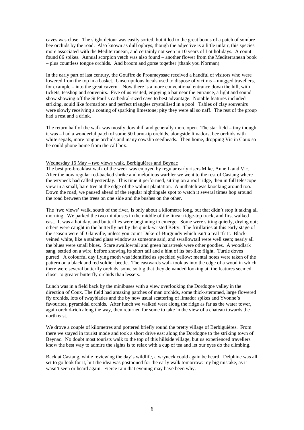caves was close. The slight detour was easily sorted, but it led to the great bonus of a patch of sombre bee orchids by the road. Also known as dull ophrys, though the adjective is a little unfair, this species more associated with the Mediterranean, and certainly not seen in 10 years of Lot holidays. A count found 86 spikes. Annual scorpion vetch was also found – another flower from the Mediterranean book – plus countless tongue orchids. And broom and gorse together (thank you Norman).

In the early part of last century, the Gouffre de Proumeyssac received a handful of visitors who were lowered from the top in a basket. Unscrupulous locals used to dispose of victims – mugged travellers, for example – into the great cavern. Now there is a more conventional entrance down the hill, with tickets, teashop and souvenirs. Five of us visited, enjoying a bat near the entrance, a light and sound show showing off the St Paul's cathedral-sized cave to best advantage. Notable features included striking, squid like formations and perfect triangles crystallised in a pool. Tables of clay souvenirs were slowly receiving a coating of sparking limestone; pity they were all so naff. The rest of the group had a rest and a drink.

The return half of the walk was mostly downhill and generally more open. The star field – tiny though it was – had a wonderful patch of some 50 burnt-tip orchids, alongside limadors, bee orchids with white sepals, more tongue orchids and many cowslip seedheads. Then home, dropping Vic in Coux so he could phone home from the call box.

#### Wednesday 16 May – two views walk, Berbiguières and Beynac

The best pre-breakfast walk of the week was enjoyed by regular early risers Mike, Anne L and Vic. After the now regular red-backed shrike and melodious warbler we went to the rest of Castang where the wryneck had called yesterday. This time it performed, sitting on a roof ridge, then in full telescope view in a small, bare tree at the edge of the walnut plantation. A nuthatch was knocking around too. Down the road, we paused ahead of the regular nightingale spot to watch it several times hop around the road between the trees on one side and the bushes on the other.

The 'two views' walk, south of the river, is only about a kilometre long, but that didn't stop it taking all morning. We parked the two minibuses in the middle of the linear ridge-top track, and first walked east. It was a hot day, and butterflies were beginning to emerge. Some were sitting quietly, drying out; others were caught in the butterfly net by the quick-wristed Betty. The fritillaries at this early stage of the season were all Glanville, unless you count Duke-of-Burgundy which isn't a real 'frit'. Blackveined white, like a stained glass window as someone said, and swallowtail were well seen; nearly all the blues were small blues. Scare swallowtail and green hairstreak were other goodies. A woodlark sang, settled on a wire, before showing its short tail and a hint of its bat-like flight. Turtle doves purred. A colourful day flying moth was identified as speckled yellow; mental notes were taken of the pattern on a black and red soldier beetle. The eastwards walk took us into the edge of a wood in which there were several butterfly orchids, some so big that they demanded looking at; the features seemed closer to greater butterfly orchids than lessers.

Lunch was in a field back by the minibuses with a view overlooking the Dordogne valley in the direction of Coux. The field had amazing patches of man orchids, some thick-stemmed, large flowered fly orchids, lots of twayblades and the by now usual scattering of limador spikes and Yvonne's favourites, pyramidal orchids. After lunch we walked west along the ridge as far as the water tower, again orchid-rich along the way, then returned for some to take in the view of a chateau towards the north east.

We drove a couple of kilometres and pottered briefly round the pretty village of Berbiguières. From there we stayed in tourist mode and took a short drive east along the Dordogne to the striking town of Beynac. No doubt most tourists walk to the top of this hillside village, but us experienced travellers know the best way to admire the sights is to relax with a cup of tea and let our eyes do the climbing.

Back at Castang, while reviewing the day's wildlife, a wryneck could again be heard. Delphine was all set to go look for it, but the idea was postponed for the early walk tomorrow: my big mistake, as it wasn't seen or heard again. Fierce rain that evening may have been why.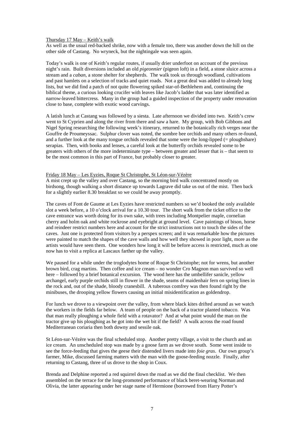#### Thursday 17 May – Keith's walk

As well as the usual red-backed shrike, now with a female too, there was another down the hill on the other side of Castang. No wryneck, but the nightingale was seen again.

Today's walk is one of Keith's regular routes, if usually drier underfoot on account of the previous night's rain. Built diversions included an old *pigeonnier* (pigeon loft) in a field, a stone sluice across a stream and a *caban*, a stone shelter for shepherds. The walk took us through woodland, cultivations and past hamlets on a selection of tracks and quiet roads. Not a great deal was added to already long lists, but we did find a patch of not quite flowering spiked star-of-Bethlehem and, continuing the biblical theme, a curious looking crucifer with leaves like Jacob's ladder that was later identified as narrow-leaved bittercress. Many in the group had a guided inspection of the property under renovation close to base, complete with exotic wood carvings.

A latish lunch at Castang was followed by a siesta. Late afternoon we divided into two. Keith's crew went to St Cyprien and along the river from there and saw a hare. My group, with Bob Gibbons and Nigel Spring researching the following week's itinerary, returned to the botanically rich verges near the Gouffre de Proumeyssac. Sulphur clover was noted, the sombre bee orchids and many others re-found, and a further look at the many tongue orchids revealed that some were the long-lipped (= ploughshare) serapias. Then, with books and lenses, a careful look at the butterfly orchids revealed some to be greaters with others of the more indeterminate type – between greater and lesser that is – that seem to be the most common in this part of France, but probably closer to greater.

#### Friday 18 May – Les Eyzies, Roque St Christophe, St Léon-sur-Vézère

A mist crept up the valley and over Castang, so the morning bird walk concentrated mostly on birdsong, though walking a short distance up towards Lagrave did take us out of the mist. Then back for a slightly earlier 8.30 breakfast so we could be away promptly.

The caves of Font de Gaume at Les Eyzies have restricted numbers so we'd booked the only available slot a week before, a 10 o'clock arrival for a 10.30 tour. The short walk from the ticket office to the cave entrance was worth doing for its own sake, with trees including Montpelier maple, cornelian cherry and holm oak and white rockrose and eyebright at ground level. Cave paintings of bison, horse and reindeer restrict numbers here and account for the strict instructions not to touch the sides of the caves. Just one is protected from visitors by a perspex screen; and it was remarkable how the pictures were painted to match the shapes of the cave walls and how well they showed in poor light, more as the artists would have seen them. One wonders how long it will be before access is restricted, much as one now has to visit a replica at Lascaux farther up the valley.

We paused for a while under the troglodytes home of Roque St Christophe; not for wrens, but another brown bird, crag martins. Then coffee and ice cream – no wonder Cro Magnon man survived so well here – followed by a brief botanical excursion. The wood here has the umbellifer sanicle, yellow archangel, early purple orchids still in flower in the shade, seams of maidenhair fern on spring lines in the rock and, out of the shade, bloody cranesbill. A tuberous comfrey was then found right by the minibuses, the drooping yellow flowers causing an initial misidentification as goldendrop.

For lunch we drove to a viewpoint over the valley, from where black kites drifted around as we watch the workers in the fields far below. A team of people on the back of a tractor planted tobacco. Was that man really ploughing a whole field with a rotavator? And at what point would the man on the tractor give up his ploughing as he got into the wet bit if the field? A walk across the road found Mediterranean coriaria then both downy and sessile oak.

St Léon-sur-Vézère was the final scheduled stop. Another pretty village, a visit to the church and an ice cream. An unscheduled stop was made by a goose farm as we drove south. Some went inside to see the force-feeding that gives the geese their distended livers made into *foie gras*. Our own group's farmer, Mike, discussed farming matters with the man with the goose-feeding nozzle. Finally, after returning to Castang, three of us drove to the shop in Coux.

Brenda and Delphine reported a red squirrel down the road as we did the final checklist. We then assembled on the terrace for the long-promoted performance of black beret-wearing Norman and Olivia, the latter appearing under her stage name of Hermione (borrowed from Harry Potter's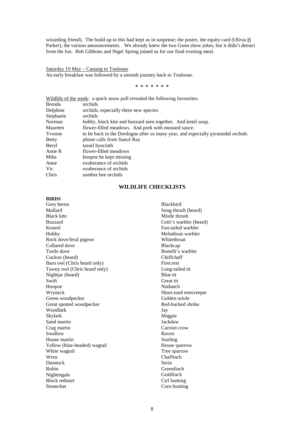wizarding friend). The build up to this had kept us in suspense; the poster, the equity card (Olivia  $\underline{H}$ Parker), the various announcements. We already knew the two Goon show jokes, but it didn't detract from the fun. Bob Gibbons and Nigel Spring joined us for our final evening meal.

Saturday 19 May – Castang to Toulouse An early breakfast was followed by a smooth journey back to Toulouse.

**\* \* \* \* \* \* \***

| Wildlife of the week: a quick straw poll revealed the following favourites.     |
|---------------------------------------------------------------------------------|
| orchids                                                                         |
| orchids, especially three new species                                           |
| orchids                                                                         |
| hobby, black kite and buzzard seen together. And lentil soup.                   |
| flower-filled meadows. And pork with mustard sauce.                             |
| to be back in the Dordogne after so many year, and especially pyramidal orchids |
| phone calls from fiance Ray                                                     |
| tassel hyacinth                                                                 |
| flower-filled meadows                                                           |
| hoopoe he kept missing                                                          |
| exuberance of orchids                                                           |
| exuberance of orchids                                                           |
| sombre bee orchids                                                              |
|                                                                                 |

# **WILDLIFE CHECKLISTS**

# **BIRDS**

Grey heron Mallard Black kite Buzzard Kestrel Hobby Rock dove/feral pigeon Collared dove Turtle dove Cuckoo (heard) Barn owl (Chris heard only) Tawny owl (Chris heard only) Nightjar (heard) **Swift** Hoopoe Wryneck Green woodpecker Great spotted woodpecker Woodlark Skylark Sand martin Crag martin Swallow House martin Yellow (blue-headed) wagtail White wagtail Wren Dunnock Robin Nightingale Black redstart Stonechat

Blackbird Song thrush (heard) Mistle thrush Cetti's warbler (heard) Fan-tailed warbler Melodious warbler **Whitethroat** Blackcap Bonelli's warbler Chiffchaff Firecrest Long-tailed tit Blue tit Great tit Nuthatch Short-toed treecreeper Golden oriole Red-backed shrike Jay Magpie **Jackdaw** Carrion crow Raven Starling House sparrow Tree sparrow Chaffinch Serin **Greenfinch** Goldfinch Cirl bunting Corn bunting